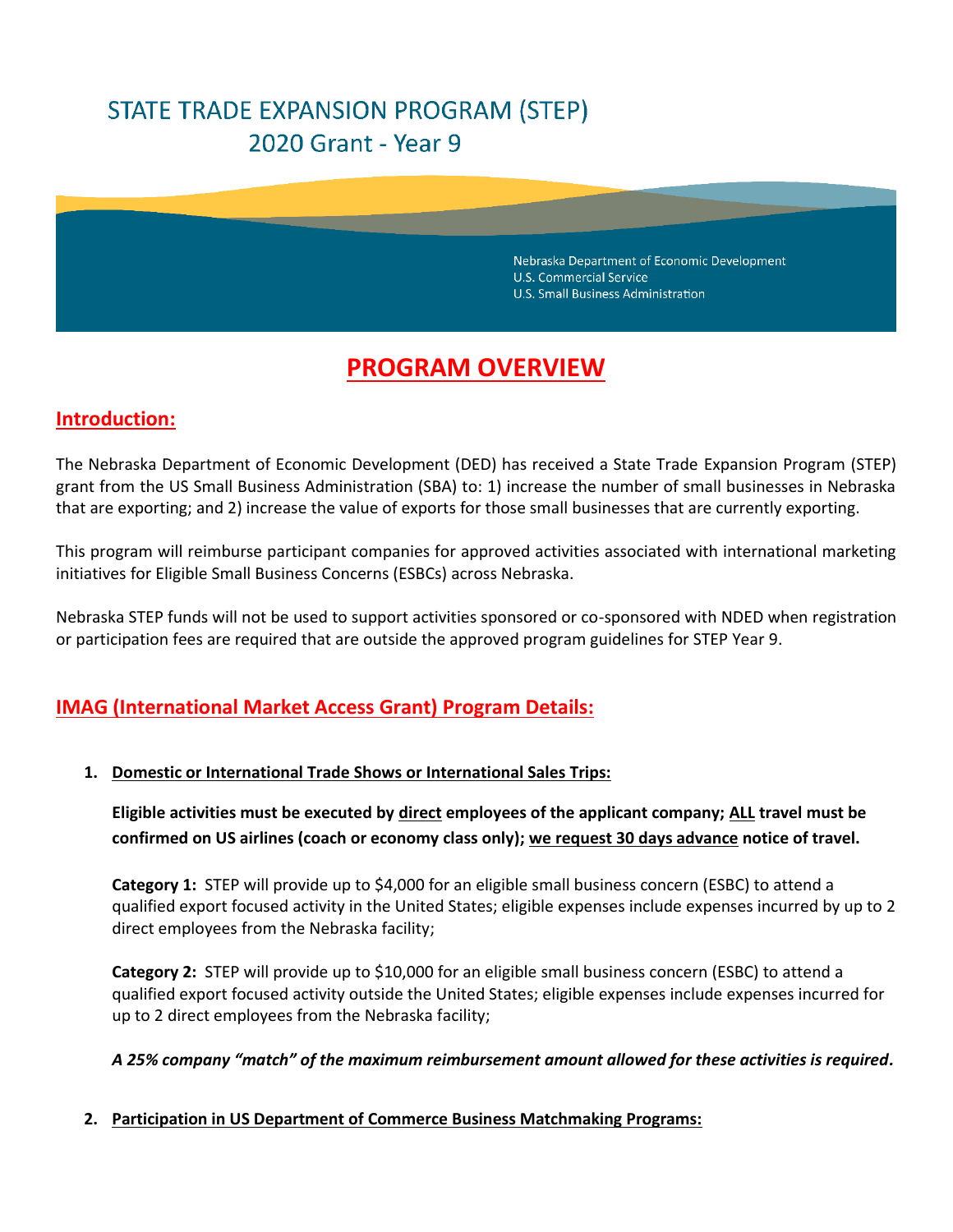# STATE TRADE EXPANSION PROGRAM (STEP) 2020 Grant - Year 9

Nebraska Department of Economic Development U.S. Commercial Service **U.S. Small Business Administration** 

# **PROGRAM OVERVIEW**

## **Introduction:**

The Nebraska Department of Economic Development (DED) has received a State Trade Expansion Program (STEP) grant from the US Small Business Administration (SBA) to: 1) increase the number of small businesses in Nebraska that are exporting; and 2) increase the value of exports for those small businesses that are currently exporting.

This program will reimburse participant companies for approved activities associated with international marketing initiatives for Eligible Small Business Concerns (ESBCs) across Nebraska.

Nebraska STEP funds will not be used to support activities sponsored or co-sponsored with NDED when registration or participation fees are required that are outside the approved program guidelines for STEP Year 9.

# **IMAG (International Market Access Grant) Program Details:**

#### **1. Domestic or International Trade Shows or International Sales Trips:**

**Eligible activities must be executed by direct employees of the applicant company; ALL travel must be confirmed on US airlines (coach or economy class only); we request 30 days advance notice of travel.**

**Category 1:** STEP will provide up to \$4,000 for an eligible small business concern (ESBC) to attend a qualified export focused activity in the United States; eligible expenses include expenses incurred by up to 2 direct employees from the Nebraska facility;

**Category 2:** STEP will provide up to \$10,000 for an eligible small business concern (ESBC) to attend a qualified export focused activity outside the United States; eligible expenses include expenses incurred for up to 2 direct employees from the Nebraska facility;

#### *A 25% company "match" of the maximum reimbursement amount allowed for these activities is required.*

#### **2. Participation in US Department of Commerce Business Matchmaking Programs:**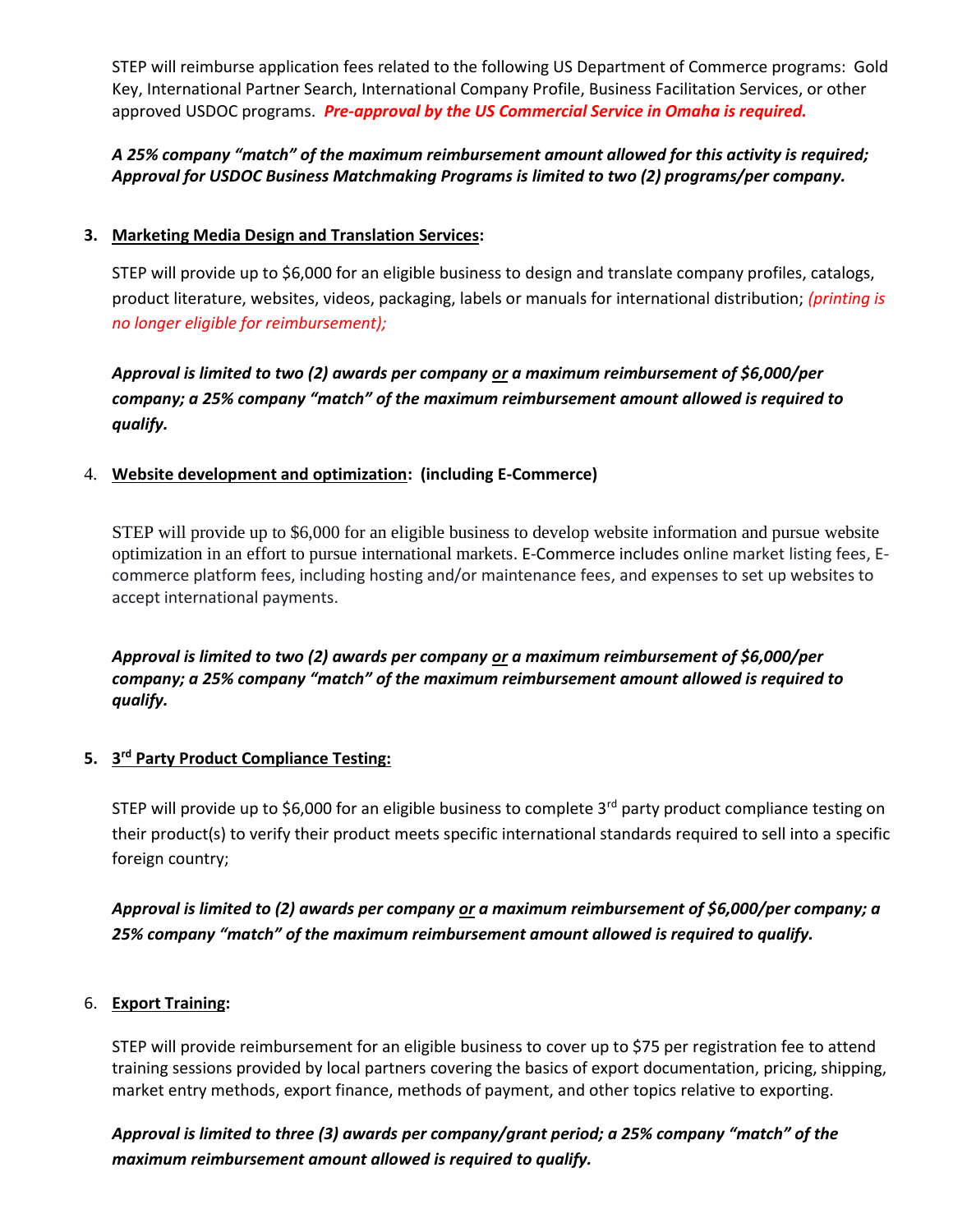STEP will reimburse application fees related to the following US Department of Commerce programs: Gold Key, International Partner Search, International Company Profile, Business Facilitation Services, or other approved USDOC programs. *Pre-approval by the US Commercial Service in Omaha is required.*

## *A 25% company "match" of the maximum reimbursement amount allowed for this activity is required; Approval for USDOC Business Matchmaking Programs is limited to two (2) programs/per company.*

#### **3. Marketing Media Design and Translation Services:**

STEP will provide up to \$6,000 for an eligible business to design and translate company profiles, catalogs, product literature, websites, videos, packaging, labels or manuals for international distribution; *(printing is no longer eligible for reimbursement);*

*Approval is limited to two (2) awards per company or a maximum reimbursement of \$6,000/per company; a 25% company "match" of the maximum reimbursement amount allowed is required to qualify.*

#### 4. **Website development and optimization: (including E-Commerce)**

STEP will provide up to \$6,000 for an eligible business to develop website information and pursue website optimization in an effort to pursue international markets. E-Commerce includes online market listing fees, Ecommerce platform fees, including hosting and/or maintenance fees, and expenses to set up websites to accept international payments.

*Approval is limited to two (2) awards per company or a maximum reimbursement of \$6,000/per company; a 25% company "match" of the maximum reimbursement amount allowed is required to qualify.*

#### **5. 3 rd Party Product Compliance Testing:**

STEP will provide up to \$6,000 for an eligible business to complete 3<sup>rd</sup> party product compliance testing on their product(s) to verify their product meets specific international standards required to sell into a specific foreign country;

## *Approval is limited to (2) awards per company or a maximum reimbursement of \$6,000/per company; a 25% company "match" of the maximum reimbursement amount allowed is required to qualify.*

#### 6. **Export Training:**

STEP will provide reimbursement for an eligible business to cover up to \$75 per registration fee to attend training sessions provided by local partners covering the basics of export documentation, pricing, shipping, market entry methods, export finance, methods of payment, and other topics relative to exporting.

## *Approval is limited to three (3) awards per company/grant period; a 25% company "match" of the maximum reimbursement amount allowed is required to qualify.*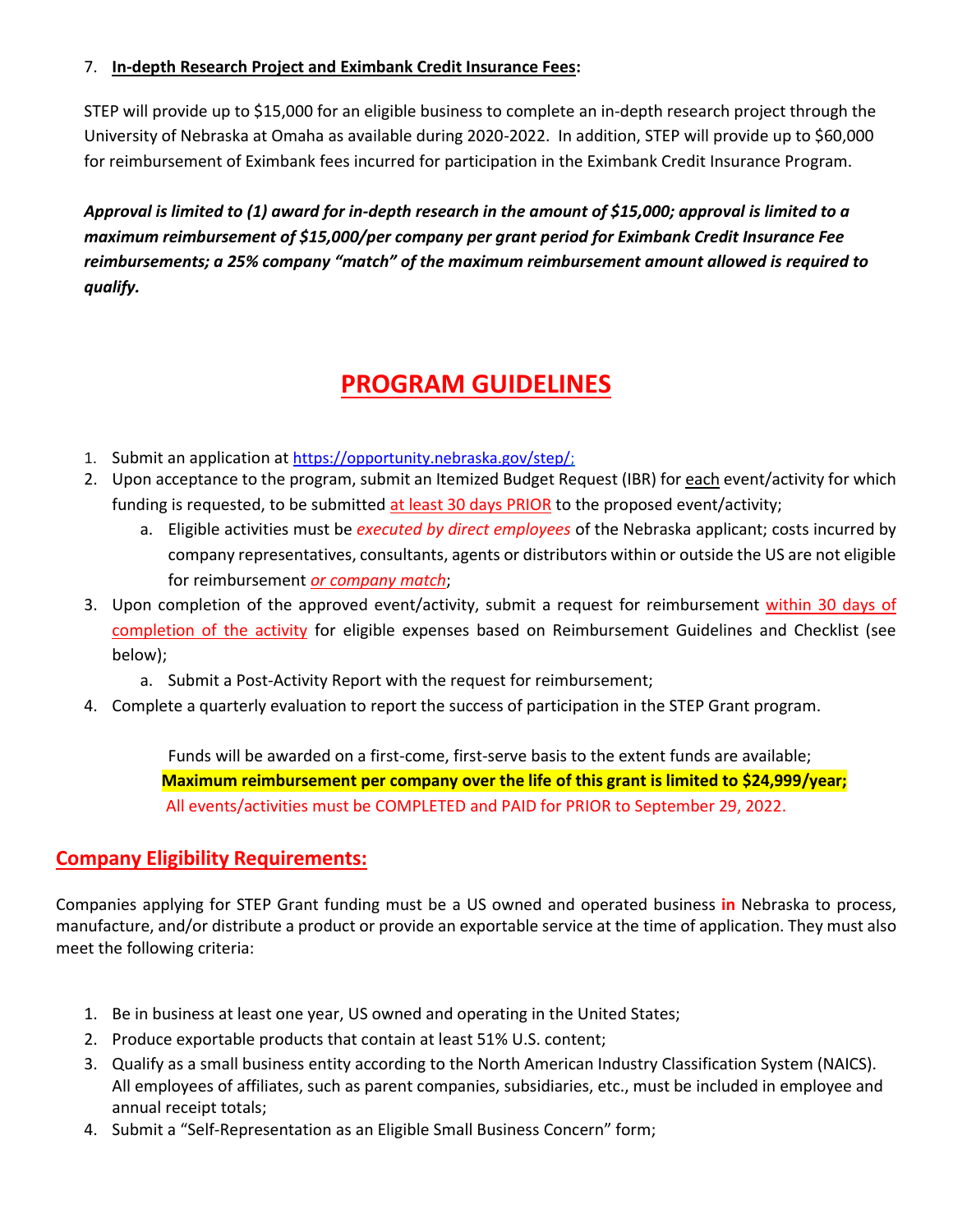## 7. **In-depth Research Project and Eximbank Credit Insurance Fees:**

STEP will provide up to \$15,000 for an eligible business to complete an in-depth research project through the University of Nebraska at Omaha as available during 2020-2022. In addition, STEP will provide up to \$60,000 for reimbursement of Eximbank fees incurred for participation in the Eximbank Credit Insurance Program.

*Approval is limited to (1) award for in-depth research in the amount of \$15,000; approval is limited to a maximum reimbursement of \$15,000/per company per grant period for Eximbank Credit Insurance Fee reimbursements; a 25% company "match" of the maximum reimbursement amount allowed is required to qualify.*

# **PROGRAM GUIDELINES**

- 1. Submit an application at [https://opportunity.nebraska.gov/step/;](https://opportunity.nebraska.gov/step/)
- 2. Upon acceptance to the program, submit an Itemized Budget Request (IBR) for each event/activity for which funding is requested, to be submitted at least 30 days PRIOR to the proposed event/activity;
	- a. Eligible activities must be *executed by direct employees* of the Nebraska applicant; costs incurred by company representatives, consultants, agents or distributors within or outside the US are not eligible for reimbursement *or company match*;
- 3. Upon completion of the approved event/activity, submit a request for reimbursement within 30 days of completion of the activity for eligible expenses based on Reimbursement Guidelines and Checklist (see below);
	- a. Submit a Post-Activity Report with the request for reimbursement;
- 4. Complete a quarterly evaluation to report the success of participation in the STEP Grant program.

Funds will be awarded on a first-come, first-serve basis to the extent funds are available; **Maximum reimbursement per company over the life of this grant is limited to \$24,999/year;** All events/activities must be COMPLETED and PAID for PRIOR to September 29, 2022.

# **Company Eligibility Requirements:**

Companies applying for STEP Grant funding must be a US owned and operated business **in** Nebraska to process, manufacture, and/or distribute a product or provide an exportable service at the time of application. They must also meet the following criteria:

- 1. Be in business at least one year, US owned and operating in the United States;
- 2. Produce exportable products that contain at least 51% U.S. content;
- 3. Qualify as a small business entity according to the North American Industry Classification System (NAICS). All employees of affiliates, such as parent companies, subsidiaries, etc., must be included in employee and annual receipt totals;
- 4. Submit a "Self-Representation as an Eligible Small Business Concern" form;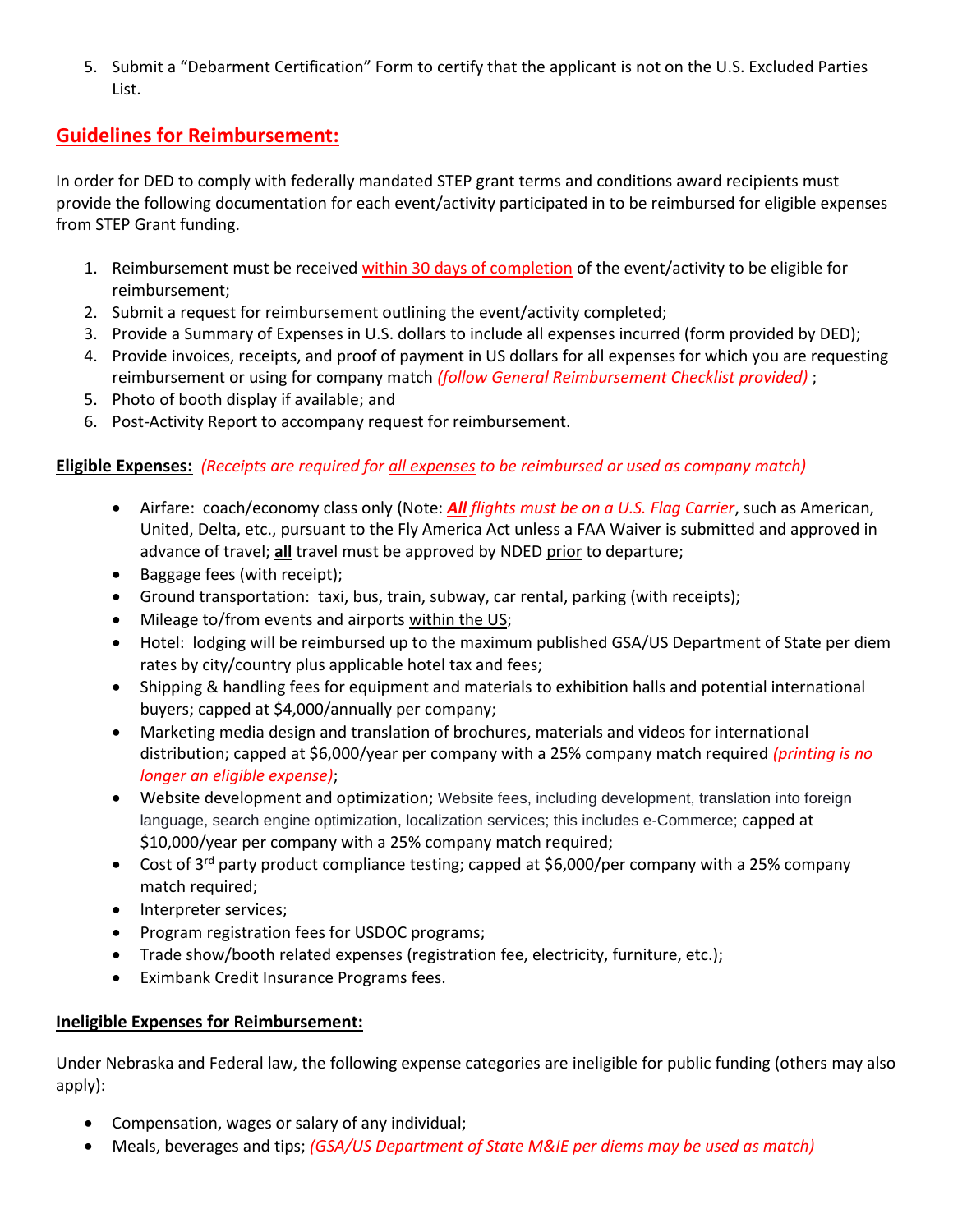5. Submit a "Debarment Certification" Form to certify that the applicant is not on the U.S. Excluded Parties List.

# **Guidelines for Reimbursement:**

In order for DED to comply with federally mandated STEP grant terms and conditions award recipients must provide the following documentation for each event/activity participated in to be reimbursed for eligible expenses from STEP Grant funding.

- 1. Reimbursement must be received within 30 days of completion of the event/activity to be eligible for reimbursement;
- 2. Submit a request for reimbursement outlining the event/activity completed;
- 3. Provide a Summary of Expenses in U.S. dollars to include all expenses incurred (form provided by DED);
- 4. Provide invoices, receipts, and proof of payment in US dollars for all expenses for which you are requesting reimbursement or using for company match *(follow General Reimbursement Checklist provided)* ;
- 5. Photo of booth display if available; and
- 6. Post-Activity Report to accompany request for reimbursement.

### **Eligible Expenses:** *(Receipts are required for all expenses to be reimbursed or used as company match)*

- Airfare: coach/economy class only (Note: *All flights must be on a U.S. Flag Carrier*, such as American, United, Delta, etc., pursuant to the Fly America Act unless a FAA Waiver is submitted and approved in advance of travel; **all** travel must be approved by NDED prior to departure;
- Baggage fees (with receipt);
- Ground transportation: taxi, bus, train, subway, car rental, parking (with receipts);
- Mileage to/from events and airports within the US;
- Hotel: lodging will be reimbursed up to the maximum published GSA/US Department of State per diem rates by city/country plus applicable hotel tax and fees;
- Shipping & handling fees for equipment and materials to exhibition halls and potential international buyers; capped at \$4,000/annually per company;
- Marketing media design and translation of brochures, materials and videos for international distribution; capped at \$6,000/year per company with a 25% company match required *(printing is no longer an eligible expense)*;
- Website development and optimization; Website fees, including development, translation into foreign language, search engine optimization, localization services; this includes e-Commerce; capped at \$10,000/year per company with a 25% company match required;
- Cost of 3<sup>rd</sup> party product compliance testing; capped at \$6,000/per company with a 25% company match required;
- Interpreter services;
- Program registration fees for USDOC programs;
- Trade show/booth related expenses (registration fee, electricity, furniture, etc.);
- Eximbank Credit Insurance Programs fees.

### **Ineligible Expenses for Reimbursement:**

Under Nebraska and Federal law, the following expense categories are ineligible for public funding (others may also apply):

- Compensation, wages or salary of any individual;
- Meals, beverages and tips; *(GSA/US Department of State M&IE per diems may be used as match)*